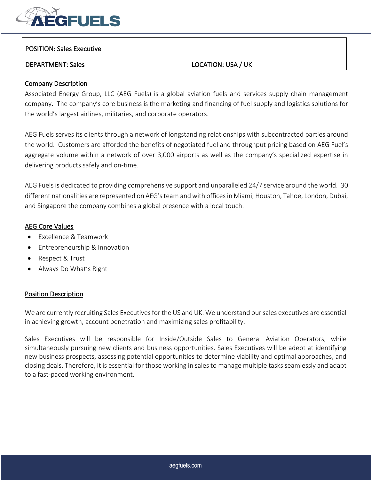

## POSITION: Sales Executive

# DEPARTMENT: Sales LOCATION: USA / UK

## Company Description

Associated Energy Group, LLC (AEG Fuels) is a global aviation fuels and services supply chain management company. The company's core business is the marketing and financing of fuel supply and logistics solutions for the world's largest airlines, militaries, and corporate operators.

AEG Fuels serves its clients through a network of longstanding relationships with subcontracted parties around the world. Customers are afforded the benefits of negotiated fuel and throughput pricing based on AEG Fuel's aggregate volume within a network of over 3,000 airports as well as the company's specialized expertise in delivering products safely and on-time.

AEG Fuels is dedicated to providing comprehensive support and unparalleled 24/7 service around the world. 30 different nationalities are represented on AEG's team and with offices in Miami, Houston, Tahoe, London, Dubai, and Singapore the company combines a global presence with a local touch.

## AEG Core Values

- Excellence & Teamwork
- Entrepreneurship & Innovation
- Respect & Trust
- Always Do What's Right

## Position Description

We are currently recruiting Sales Executives for the US and UK. We understand our sales executives are essential in achieving growth, account penetration and maximizing sales profitability.

Sales Executives will be responsible for Inside/Outside Sales to General Aviation Operators, while simultaneously pursuing new clients and business opportunities. Sales Executives will be adept at identifying new business prospects, assessing potential opportunities to determine viability and optimal approaches, and closing deals. Therefore, it is essential for those working in sales to manage multiple tasks seamlessly and adapt to a fast-paced working environment.